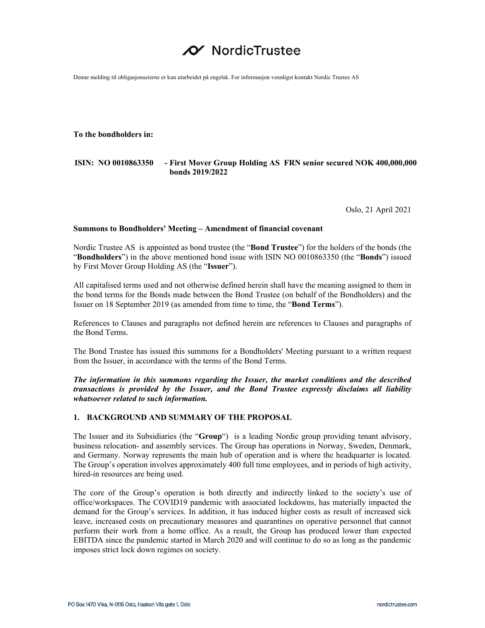# NordicTrustee

Denne melding til obligasjonseierne er kun utarbeidet på engelsk. For informasjon vennligst kontakt Nordic Trustee AS

**To the bondholders in:** 

# **ISIN: NO 0010863350 - First Mover Group Holding AS FRN senior secured NOK 400,000,000 bonds 2019/2022**

Oslo, 21 April 2021

# **Summons to Bondholders' Meeting – Amendment of financial covenant**

Nordic Trustee AS is appointed as bond trustee (the "**Bond Trustee**") for the holders of the bonds (the "**Bondholders**") in the above mentioned bond issue with ISIN NO 0010863350 (the "**Bonds**") issued by First Mover Group Holding AS (the "**Issuer**").

All capitalised terms used and not otherwise defined herein shall have the meaning assigned to them in the bond terms for the Bonds made between the Bond Trustee (on behalf of the Bondholders) and the Issuer on 18 September 2019 (as amended from time to time, the "**Bond Terms**").

References to Clauses and paragraphs not defined herein are references to Clauses and paragraphs of the Bond Terms.

The Bond Trustee has issued this summons for a Bondholders' Meeting pursuant to a written request from the Issuer, in accordance with the terms of the Bond Terms.

*The information in this summons regarding the Issuer, the market conditions and the described transactions is provided by the Issuer, and the Bond Trustee expressly disclaims all liability whatsoever related to such information.* 

# **1. BACKGROUND AND SUMMARY OF THE PROPOSAL**

The Issuer and its Subsidiaries (the "**Group**") is a leading Nordic group providing tenant advisory, business relocation- and assembly services. The Group has operations in Norway, Sweden, Denmark, and Germany. Norway represents the main hub of operation and is where the headquarter is located. The Group's operation involves approximately 400 full time employees, and in periods of high activity, hired-in resources are being used.

The core of the Group's operation is both directly and indirectly linked to the society's use of office/workspaces. The COVID19 pandemic with associated lockdowns, has materially impacted the demand for the Group's services. In addition, it has induced higher costs as result of increased sick leave, increased costs on precautionary measures and quarantines on operative personnel that cannot perform their work from a home office. As a result, the Group has produced lower than expected EBITDA since the pandemic started in March 2020 and will continue to do so as long as the pandemic imposes strict lock down regimes on society.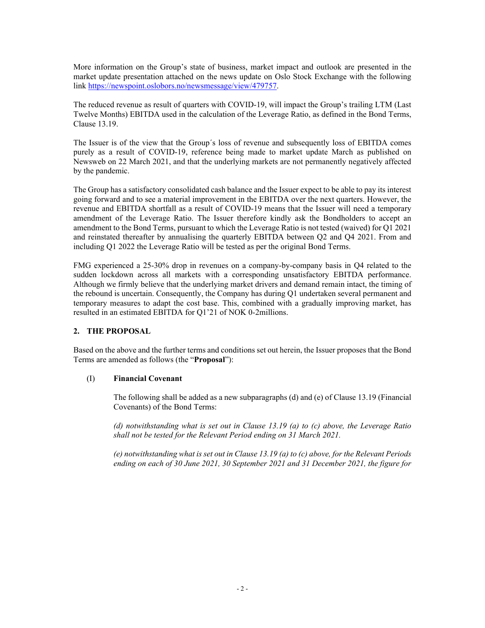More information on the Group's state of business, market impact and outlook are presented in the market update presentation attached on the news update on Oslo Stock Exchange with the following link https://newspoint.oslobors.no/newsmessage/view/479757.

The reduced revenue as result of quarters with COVID-19, will impact the Group's trailing LTM (Last Twelve Months) EBITDA used in the calculation of the Leverage Ratio, as defined in the Bond Terms, Clause 13.19.

The Issuer is of the view that the Group´s loss of revenue and subsequently loss of EBITDA comes purely as a result of COVID-19, reference being made to market update March as published on Newsweb on 22 March 2021, and that the underlying markets are not permanently negatively affected by the pandemic.

The Group has a satisfactory consolidated cash balance and the Issuer expect to be able to pay its interest going forward and to see a material improvement in the EBITDA over the next quarters. However, the revenue and EBITDA shortfall as a result of COVID-19 means that the Issuer will need a temporary amendment of the Leverage Ratio. The Issuer therefore kindly ask the Bondholders to accept an amendment to the Bond Terms, pursuant to which the Leverage Ratio is not tested (waived) for Q1 2021 and reinstated thereafter by annualising the quarterly EBITDA between Q2 and Q4 2021. From and including Q1 2022 the Leverage Ratio will be tested as per the original Bond Terms.

FMG experienced a 25-30% drop in revenues on a company-by-company basis in Q4 related to the sudden lockdown across all markets with a corresponding unsatisfactory EBITDA performance. Although we firmly believe that the underlying market drivers and demand remain intact, the timing of the rebound is uncertain. Consequently, the Company has during Q1 undertaken several permanent and temporary measures to adapt the cost base. This, combined with a gradually improving market, has resulted in an estimated EBITDA for Q1'21 of NOK 0-2millions.

# **2. THE PROPOSAL**

Based on the above and the further terms and conditions set out herein, the Issuer proposes that the Bond Terms are amended as follows (the "**Proposal**"):

# (I) **Financial Covenant**

The following shall be added as a new subparagraphs (d) and (e) of Clause 13.19 (Financial Covenants) of the Bond Terms:

*(d) notwithstanding what is set out in Clause 13.19 (a) to (c) above, the Leverage Ratio shall not be tested for the Relevant Period ending on 31 March 2021.* 

*(e) notwithstanding what is set out in Clause 13.19 (a) to (c) above, for the Relevant Periods ending on each of 30 June 2021, 30 September 2021 and 31 December 2021, the figure for*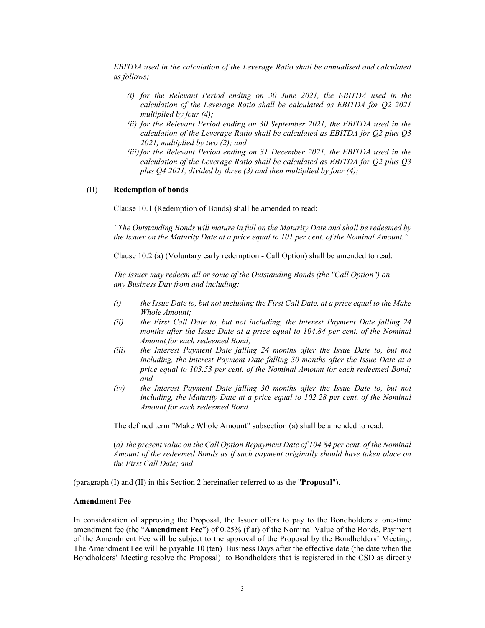*EBITDA used in the calculation of the Leverage Ratio shall be annualised and calculated as follows;* 

- *(i) for the Relevant Period ending on 30 June 2021, the EBITDA used in the calculation of the Leverage Ratio shall be calculated as EBITDA for Q2 2021 multiplied by four (4);*
- *(ii) for the Relevant Period ending on 30 September 2021, the EBITDA used in the calculation of the Leverage Ratio shall be calculated as EBITDA for Q2 plus Q3 2021, multiplied by two (2); and*
- *(iii)for the Relevant Period ending on 31 December 2021, the EBITDA used in the calculation of the Leverage Ratio shall be calculated as EBITDA for Q2 plus Q3 plus Q4 2021, divided by three (3) and then multiplied by four (4);*

### (II) **Redemption of bonds**

Clause 10.1 (Redemption of Bonds) shall be amended to read:

*"The Outstanding Bonds will mature in full on the Maturity Date and shall be redeemed by the Issuer on the Maturity Date at a price equal to 101 per cent. of the Nominal Amount."* 

Clause 10.2 (a) (Voluntary early redemption - Call Option) shall be amended to read:

*The Issuer may redeem all or some of the Outstanding Bonds (the "Call Option") on any Business Day from and including:* 

- *(i) the Issue Date to, but not including the First Call Date, at a price equal to the Make Whole Amount;*
- *(ii) the First Call Date to, but not including, the lnterest Payment Date falling 24 months after the Issue Date at a price equal to 104.84 per cent. of the Nominal Amount for each redeemed Bond;*
- *(iii) the Interest Payment Date falling 24 months after the Issue Date to, but not including, the lnterest Payment Date falling 30 months after the Issue Date at a price equal to 103.53 per cent. of the Nominal Amount for each redeemed Bond; and*
- *(iv) the Interest Payment Date falling 30 months after the Issue Date to, but not including, the Maturity Date at a price equal to 102.28 per cent. of the Nominal Amount for each redeemed Bond.*

The defined term "Make Whole Amount" subsection (a) shall be amended to read:

(*a) the present value on the Call Option Repayment Date of 104.84 per cent. of the Nominal Amount of the redeemed Bonds as if such payment originally should have taken place on the First Call Date; and*

(paragraph (I) and (II) in this Section 2 hereinafter referred to as the "**Proposal**").

#### **Amendment Fee**

In consideration of approving the Proposal, the Issuer offers to pay to the Bondholders a one-time amendment fee (the "**Amendment Fee**") of 0.25% (flat) of the Nominal Value of the Bonds. Payment of the Amendment Fee will be subject to the approval of the Proposal by the Bondholders' Meeting. The Amendment Fee will be payable 10 (ten) Business Days after the effective date (the date when the Bondholders' Meeting resolve the Proposal) to Bondholders that is registered in the CSD as directly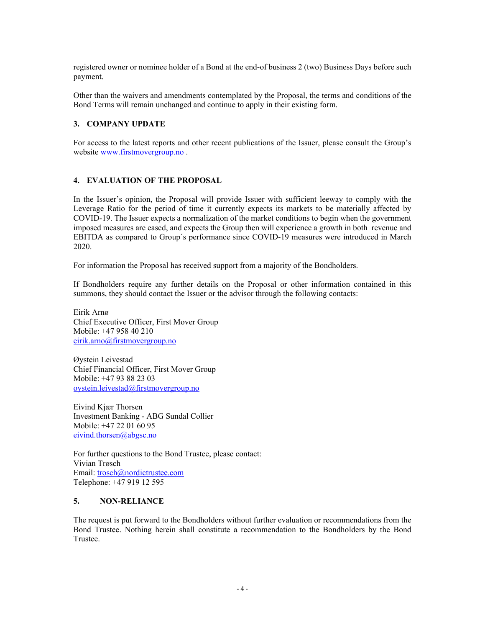registered owner or nominee holder of a Bond at the end-of business 2 (two) Business Days before such payment.

Other than the waivers and amendments contemplated by the Proposal, the terms and conditions of the Bond Terms will remain unchanged and continue to apply in their existing form.

# **3. COMPANY UPDATE**

For access to the latest reports and other recent publications of the Issuer, please consult the Group's website www.firstmovergroup.no .

# **4. EVALUATION OF THE PROPOSAL**

In the Issuer's opinion, the Proposal will provide Issuer with sufficient leeway to comply with the Leverage Ratio for the period of time it currently expects its markets to be materially affected by COVID-19. The Issuer expects a normalization of the market conditions to begin when the government imposed measures are eased, and expects the Group then will experience a growth in both revenue and EBITDA as compared to Group´s performance since COVID-19 measures were introduced in March 2020.

For information the Proposal has received support from a majority of the Bondholders.

If Bondholders require any further details on the Proposal or other information contained in this summons, they should contact the Issuer or the advisor through the following contacts:

Eirik Arnø Chief Executive Officer, First Mover Group Mobile: +47 958 40 210 eirik.arno@firstmovergroup.no

Øystein Leivestad Chief Financial Officer, First Mover Group Mobile: +47 93 88 23 03 oystein.leivestad@firstmovergroup.no

Eivind Kjær Thorsen Investment Banking - ABG Sundal Collier Mobile: +47 22 01 60 95 eivind.thorsen@abgsc.no

For further questions to the Bond Trustee, please contact: Vivian Trøsch Email: trosch@nordictrustee.com Telephone: +47 919 12 595

# **5. NON-RELIANCE**

The request is put forward to the Bondholders without further evaluation or recommendations from the Bond Trustee. Nothing herein shall constitute a recommendation to the Bondholders by the Bond Trustee.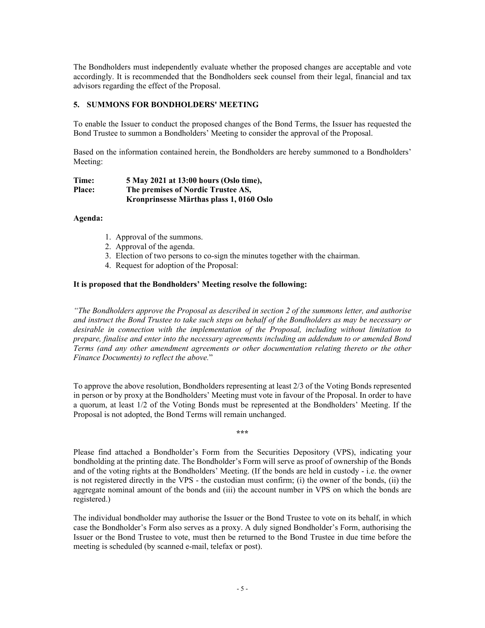The Bondholders must independently evaluate whether the proposed changes are acceptable and vote accordingly. It is recommended that the Bondholders seek counsel from their legal, financial and tax advisors regarding the effect of the Proposal.

# **5. SUMMONS FOR BONDHOLDERS' MEETING**

To enable the Issuer to conduct the proposed changes of the Bond Terms, the Issuer has requested the Bond Trustee to summon a Bondholders' Meeting to consider the approval of the Proposal.

Based on the information contained herein, the Bondholders are hereby summoned to a Bondholders' Meeting:

| Time:         | 5 May 2021 at 13:00 hours (Oslo time),   |
|---------------|------------------------------------------|
| <b>Place:</b> | The premises of Nordic Trustee AS,       |
|               | Kronprinsesse Märthas plass 1, 0160 Oslo |

# **Agenda:**

- 1. Approval of the summons.
- 2. Approval of the agenda.
- 3. Election of two persons to co-sign the minutes together with the chairman.
- 4. Request for adoption of the Proposal:

#### **It is proposed that the Bondholders' Meeting resolve the following:**

*"The Bondholders approve the Proposal as described in section 2 of the summons letter, and authorise and instruct the Bond Trustee to take such steps on behalf of the Bondholders as may be necessary or desirable in connection with the implementation of the Proposal, including without limitation to prepare, finalise and enter into the necessary agreements including an addendum to or amended Bond Terms (and any other amendment agreements or other documentation relating thereto or the other Finance Documents) to reflect the above.*"

To approve the above resolution, Bondholders representing at least 2/3 of the Voting Bonds represented in person or by proxy at the Bondholders' Meeting must vote in favour of the Proposal. In order to have a quorum, at least 1/2 of the Voting Bonds must be represented at the Bondholders' Meeting. If the Proposal is not adopted, the Bond Terms will remain unchanged.

**\*\*\*** 

Please find attached a Bondholder's Form from the Securities Depository (VPS), indicating your bondholding at the printing date. The Bondholder's Form will serve as proof of ownership of the Bonds and of the voting rights at the Bondholders' Meeting. (If the bonds are held in custody - i.e. the owner is not registered directly in the VPS - the custodian must confirm; (i) the owner of the bonds, (ii) the aggregate nominal amount of the bonds and (iii) the account number in VPS on which the bonds are registered.)

The individual bondholder may authorise the Issuer or the Bond Trustee to vote on its behalf, in which case the Bondholder's Form also serves as a proxy. A duly signed Bondholder's Form, authorising the Issuer or the Bond Trustee to vote, must then be returned to the Bond Trustee in due time before the meeting is scheduled (by scanned e-mail, telefax or post).